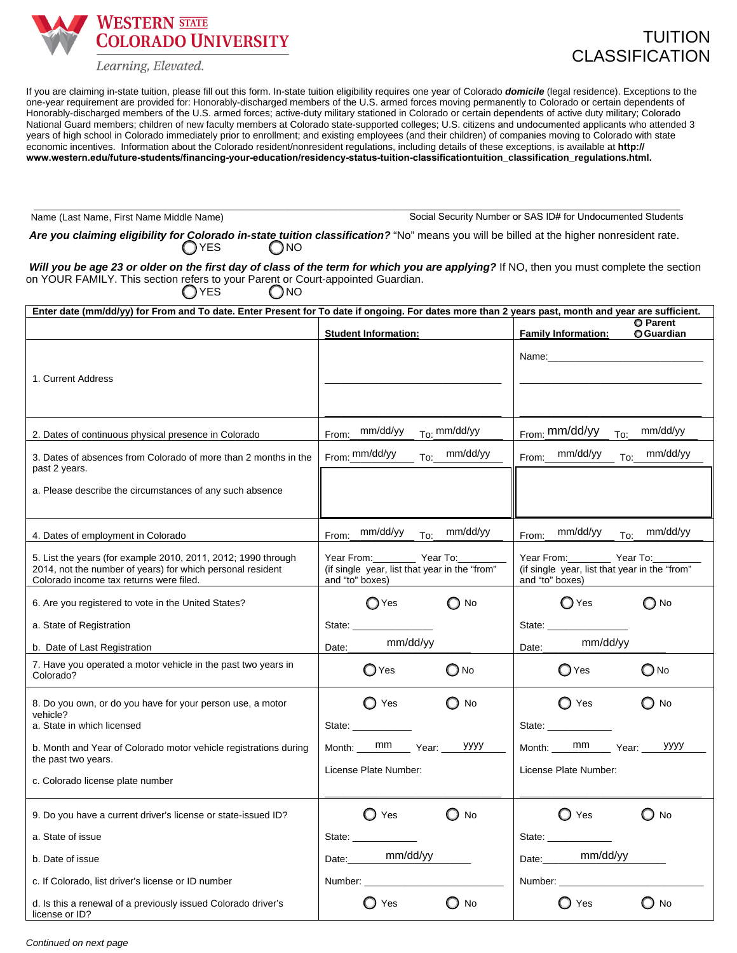**WESTERN STATE COLORADO UNIVERSITY** 

Learning, Elevated.

If you are claiming in-state tuition, please fill out this form. In-state tuition eligibility requires one year of Colorado *domicile* (legal residence). Exceptions to the one-year requirement are provided for: Honorably-discharged members of the U.S. armed forces moving permanently to Colorado or certain dependents of Honorably-discharged members of the U.S. armed forces; active-duty military stationed in Colorado or certain dependents of active duty military; Colorado National Guard members; children of new faculty members at Colorado state-supported colleges; U.S. citizens and undocumented applicants who attended 3 years of high school in Colorado immediately prior to enrollment; and existing employees (and their children) of companies moving to Colorado with state economic incentives. Information about the Colorado resident/nonresident regulations, including details of these exceptions, is available at **http:// www.western.edu/future-students/financing-your-education/residency-status-tuition-classificationtuition\_classification\_regulations.html.**

Name (Last Name, First Name Middle Name) Social Security Number or SAS ID# for Undocumented Students

Are you claiming eligibility for Colorado in-state tuition classification? "No" means you will be billed at the higher nonresident rate. OYES ONO

\_\_\_\_\_\_\_\_\_\_\_\_\_\_\_\_\_\_\_\_\_\_\_\_\_\_\_\_\_\_\_\_\_\_\_\_\_\_\_\_\_\_\_\_\_\_\_\_\_\_\_\_\_\_\_\_\_\_\_\_\_\_\_\_\_\_\_\_\_\_\_\_\_\_\_\_\_\_\_\_\_\_\_\_\_\_\_\_\_\_\_\_\_\_\_\_\_\_\_\_\_\_\_\_\_\_\_\_\_\_\_\_\_\_\_\_\_\_\_\_\_

*Will you be age 23 or older on the first day of class of the term for which you are applying?* If NO, then you must complete the section on YOUR FAMILY. This section refers to your Parent or Court-appointed Guardian. OYES ONO

| Enter date (mm/dd/yy) for From and To date. Enter Present for To date if ongoing. For dates more than 2 years past, month and year are sufficient.                     |                                                                                                                                                                                                                                                                                                                                                                                                                          |                                                                                                                                                                                                                                |  |  |  |  |
|------------------------------------------------------------------------------------------------------------------------------------------------------------------------|--------------------------------------------------------------------------------------------------------------------------------------------------------------------------------------------------------------------------------------------------------------------------------------------------------------------------------------------------------------------------------------------------------------------------|--------------------------------------------------------------------------------------------------------------------------------------------------------------------------------------------------------------------------------|--|--|--|--|
|                                                                                                                                                                        | <b>Student Information:</b>                                                                                                                                                                                                                                                                                                                                                                                              | <b>O</b> Parent<br><b>Family Information:</b><br><b>O</b> Guardian                                                                                                                                                             |  |  |  |  |
| 1. Current Address                                                                                                                                                     |                                                                                                                                                                                                                                                                                                                                                                                                                          | Name: Name and the state of the state of the state of the state of the state of the state of the state of the state of the state of the state of the state of the state of the state of the state of the state of the state of |  |  |  |  |
| 2. Dates of continuous physical presence in Colorado                                                                                                                   | From: $mm/dd/yy$ $T_0$ : $mm/dd/yy$                                                                                                                                                                                                                                                                                                                                                                                      | From: $mm/dd/yy$ $TO$ : $mm/dd/yy$                                                                                                                                                                                             |  |  |  |  |
| 3. Dates of absences from Colorado of more than 2 months in the<br>past 2 years.                                                                                       | From: mm/dd/yy<br>To: mm/dd/yy                                                                                                                                                                                                                                                                                                                                                                                           | From: mm/dd/yy<br>To: mm/dd/yy                                                                                                                                                                                                 |  |  |  |  |
| a. Please describe the circumstances of any such absence                                                                                                               |                                                                                                                                                                                                                                                                                                                                                                                                                          |                                                                                                                                                                                                                                |  |  |  |  |
| 4. Dates of employment in Colorado                                                                                                                                     | To: mm/dd/yy<br>From: mm/dd/yy                                                                                                                                                                                                                                                                                                                                                                                           | To: mm/dd/yy<br>mm/dd/yy<br>From:                                                                                                                                                                                              |  |  |  |  |
| 5. List the years (for example 2010, 2011, 2012; 1990 through<br>2014, not the number of years) for which personal resident<br>Colorado income tax returns were filed. | Year From:___________ Year To:____<br>(if single year, list that year in the "from"<br>and "to" boxes)                                                                                                                                                                                                                                                                                                                   | Year From: Year To:<br>(if single year, list that year in the "from"<br>and "to" boxes)                                                                                                                                        |  |  |  |  |
| 6. Are you registered to vote in the United States?                                                                                                                    | ∩Yes<br>$\bigcirc$ No                                                                                                                                                                                                                                                                                                                                                                                                    | ◯ Yes<br>∩ No                                                                                                                                                                                                                  |  |  |  |  |
| a. State of Registration                                                                                                                                               | State:                                                                                                                                                                                                                                                                                                                                                                                                                   | State:                                                                                                                                                                                                                         |  |  |  |  |
| b. Date of Last Registration                                                                                                                                           | mm/dd/yy<br>Date:                                                                                                                                                                                                                                                                                                                                                                                                        | mm/dd/yy<br>Date:                                                                                                                                                                                                              |  |  |  |  |
| 7. Have you operated a motor vehicle in the past two years in<br>Colorado?                                                                                             | $\bigcirc$ Yes<br>$\bigcirc$ No                                                                                                                                                                                                                                                                                                                                                                                          | $\bigcirc$ No<br>$\bigcirc$ Yes                                                                                                                                                                                                |  |  |  |  |
| 8. Do you own, or do you have for your person use, a motor<br>vehicle?<br>a. State in which licensed                                                                   | $\bigcirc$ Yes<br>$\bigcirc$ No<br>State: and the state of the state of the state of the state of the state of the state of the state of the state of the state of the state of the state of the state of the state of the state of the state of the state of the                                                                                                                                                        | $\bigcirc$ Yes<br>◯ No<br>State: ____________                                                                                                                                                                                  |  |  |  |  |
| b. Month and Year of Colorado motor vehicle registrations during<br>the past two years.                                                                                | Month: $\frac{mm}{\sqrt{1-\frac{1}{1-\frac{1}{1-\frac{1}{1-\frac{1}{1-\frac{1}{1-\frac{1}{1-\frac{1}{1-\frac{1}{1-\frac{1}{1-\frac{1}{1-\frac{1}{1-\frac{1}{1-\frac{1}{1-\frac{1}{1-\frac{1}{1-\frac{1}{1-\frac{1}{1-\frac{1}{1-\frac{1}{1-\frac{1}{1-\frac{1}{1-\frac{1}{1-\frac{1}{1-\frac{1}{1-\frac{1}{1-\frac{1}{1-\frac{1}{1-\frac{1}{1-\frac{1}{1-\frac{1}{1-\frac{1}{1-\frac{1}{1-\frac{1}{1-\frac{1}{1$<br>уууу | Month: mm Year:<br>уууу                                                                                                                                                                                                        |  |  |  |  |
| c. Colorado license plate number                                                                                                                                       | License Plate Number:                                                                                                                                                                                                                                                                                                                                                                                                    | License Plate Number:                                                                                                                                                                                                          |  |  |  |  |
| 9. Do you have a current driver's license or state-issued ID?                                                                                                          | $\bigcirc$ No<br>$\bigcirc$ Yes                                                                                                                                                                                                                                                                                                                                                                                          | $\bigcirc$ No<br>◯ Yes                                                                                                                                                                                                         |  |  |  |  |
| a. State of issue                                                                                                                                                      | State:                                                                                                                                                                                                                                                                                                                                                                                                                   | State: ________________                                                                                                                                                                                                        |  |  |  |  |
| b. Date of issue                                                                                                                                                       | Date: mm/dd/yy                                                                                                                                                                                                                                                                                                                                                                                                           | Date:_________mm/dd/yy                                                                                                                                                                                                         |  |  |  |  |
| c. If Colorado, list driver's license or ID number                                                                                                                     | Number: and the state of the state of the state of the state of the state of the state of the state of the state of the state of the state of the state of the state of the state of the state of the state of the state of th                                                                                                                                                                                           | Number: and the state of the state of the state of the state of the state of the state of the state of the state of the state of the state of the state of the state of the state of the state of the state of the state of th |  |  |  |  |
| d. Is this a renewal of a previously issued Colorado driver's<br>license or ID?                                                                                        | ◯ Yes<br>O No                                                                                                                                                                                                                                                                                                                                                                                                            | $\bigcirc$ Yes<br>$\bigcirc$ No                                                                                                                                                                                                |  |  |  |  |

*Continued on next page*